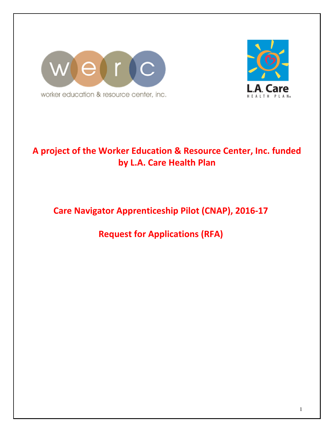



# A project of the Worker Education & Resource Center, Inc. funded by L.A. Care Health Plan

# Care Navigator Apprenticeship Pilot (CNAP), 2016-17

Request for Applications (RFA)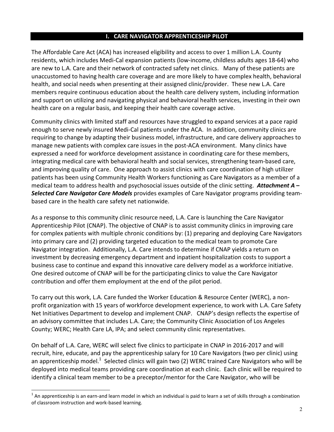#### I. CARE NAVIGATOR APPRENTICESHIP PILOT

The Affordable Care Act (ACA) has increased eligibility and access to over 1 million L.A. County residents, which includes Medi-Cal expansion patients (low-income, childless adults ages 18-64) who are new to L.A. Care and their network of contracted safety net clinics. Many of these patients are unaccustomed to having health care coverage and are more likely to have complex health, behavioral health, and social needs when presenting at their assigned clinic/provider. These new L.A. Care members require continuous education about the health care delivery system, including information and support on utilizing and navigating physical and behavioral health services, investing in their own health care on a regular basis, and keeping their health care coverage active.

Community clinics with limited staff and resources have struggled to expand services at a pace rapid enough to serve newly insured Medi-Cal patients under the ACA. In addition, community clinics are requiring to change by adapting their business model, infrastructure, and care delivery approaches to manage new patients with complex care issues in the post-ACA environment. Many clinics have expressed a need for workforce development assistance in coordinating care for these members, integrating medical care with behavioral health and social services, strengthening team-based care, and improving quality of care. One approach to assist clinics with care coordination of high utilizer patients has been using Community Health Workers functioning as Care Navigators as a member of a medical team to address health and psychosocial issues outside of the clinic setting. Attachment  $A -$ Selected Care Navigator Care Models provides examples of Care Navigator programs providing teambased care in the health care safety net nationwide.

As a response to this community clinic resource need, L.A. Care is launching the Care Navigator Apprenticeship Pilot (CNAP). The objective of CNAP is to assist community clinics in improving care for complex patients with multiple chronic conditions by: (1) preparing and deploying Care Navigators into primary care and (2) providing targeted education to the medical team to promote Care Navigator integration. Additionally, L.A. Care intends to determine if CNAP yields a return on investment by decreasing emergency department and inpatient hospitalization costs to support a business case to continue and expand this innovative care delivery model as a workforce initiative. One desired outcome of CNAP will be for the participating clinics to value the Care Navigator contribution and offer them employment at the end of the pilot period.

To carry out this work, L.A. Care funded the Worker Education & Resource Center (WERC), a nonprofit organization with 15 years of workforce development experience, to work with L.A. Care Safety Net Initiatives Department to develop and implement CNAP. CNAP's design reflects the expertise of an advisory committee that includes L.A. Care; the Community Clinic Association of Los Angeles County; WERC; Health Care LA, IPA; and select community clinic representatives.

On behalf of L.A. Care, WERC will select five clinics to participate in CNAP in 2016-2017 and will recruit, hire, educate, and pay the apprenticeship salary for 10 Care Navigators (two per clinic) using an apprenticeship model.<sup>1</sup> Selected clinics will gain two (2) WERC trained Care Navigators who will be deployed into medical teams providing care coordination at each clinic. Each clinic will be required to identify a clinical team member to be a preceptor/mentor for the Care Navigator, who will be

l

 $^1$  An apprenticeship is an earn-and learn model in which an individual is paid to learn a set of skills through a combination of classroom instruction and work-based learning.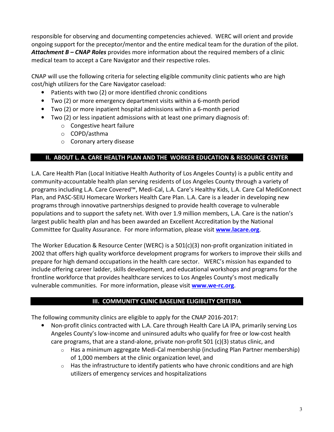responsible for observing and documenting competencies achieved. WERC will orient and provide ongoing support for the preceptor/mentor and the entire medical team for the duration of the pilot. **Attachment B – CNAP Roles** provides more information about the required members of a clinic medical team to accept a Care Navigator and their respective roles.

CNAP will use the following criteria for selecting eligible community clinic patients who are high cost/high utilizers for the Care Navigator caseload:

- Patients with two (2) or more identified chronic conditions
- Two (2) or more emergency department visits within a 6-month period
- Two (2) or more inpatient hospital admissions within a 6-month period
- Two (2) or less inpatient admissions with at least one primary diagnosis of:
	- o Congestive heart failure
	- o COPD/asthma
	- o Coronary artery disease

# II. ABOUT L. A. CARE HEALTH PLAN AND THE WORKER EDUCATION & RESOURCE CENTER

L.A. Care Health Plan (Local Initiative Health Authority of Los Angeles County) is a public entity and community-accountable health plan serving residents of Los Angeles County through a variety of programs including L.A. Care Covered™, Medi-Cal, L.A. Care's Healthy Kids, L.A. Care Cal MediConnect Plan, and PASC-SEIU Homecare Workers Health Care Plan. L.A. Care is a leader in developing new programs through innovative partnerships designed to provide health coverage to vulnerable populations and to support the safety net. With over 1.9 million members, L.A. Care is the nation's largest public health plan and has been awarded an Excellent Accreditation by the National Committee for Quality Assurance. For more information, please visit **www.lacare.org**.

The Worker Education & Resource Center (WERC) is a 501(c)(3) non-profit organization initiated in 2002 that offers high quality workforce development programs for workers to improve their skills and prepare for high demand occupations in the health care sector. WERC's mission has expanded to include offering career ladder, skills development, and educational workshops and programs for the frontline workforce that provides healthcare services to Los Angeles County's most medically vulnerable communities. For more information, please visit www.we-rc.org.

# III. COMMUNITY CLINIC BASELINE ELIGIBLITY CRITERIA

The following community clinics are eligible to apply for the CNAP 2016-2017:

- Non-profit clinics contracted with L.A. Care through Health Care LA IPA, primarily serving Los Angeles County's low-income and uninsured adults who qualify for free or low-cost health care programs, that are a stand-alone, private non-profit 501 (c)(3) status clinic, and
	- $\circ$  Has a minimum aggregate Medi-Cal membership (including Plan Partner membership) of 1,000 members at the clinic organization level, and
	- $\circ$  Has the infrastructure to identify patients who have chronic conditions and are high utilizers of emergency services and hospitalizations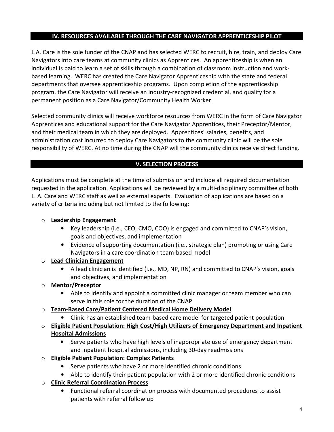## IV. RESOURCES AVAILABLE THROUGH THE CARE NAVIGATOR APPRENTICESHIP PILOT

L.A. Care is the sole funder of the CNAP and has selected WERC to recruit, hire, train, and deploy Care Navigators into care teams at community clinics as Apprentices. An apprenticeship is when an individual is paid to learn a set of skills through a combination of classroom instruction and workbased learning. WERC has created the Care Navigator Apprenticeship with the state and federal departments that oversee apprenticeship programs. Upon completion of the apprenticeship program, the Care Navigator will receive an industry-recognized credential, and qualify for a permanent position as a Care Navigator/Community Health Worker.

Selected community clinics will receive workforce resources from WERC in the form of Care Navigator Apprentices and educational support for the Care Navigator Apprentices, their Preceptor/Mentor, and their medical team in which they are deployed. Apprentices' salaries, benefits, and administration cost incurred to deploy Care Navigators to the community clinic will be the sole responsibility of WERC. At no time during the CNAP will the community clinics receive direct funding.

# V. SELECTION PROCESS

Applications must be complete at the time of submission and include all required documentation requested in the application. Applications will be reviewed by a multi-disciplinary committee of both L. A. Care and WERC staff as well as external experts. Evaluation of applications are based on a variety of criteria including but not limited to the following:

# o Leadership Engagement

- Key leadership (i.e., CEO, CMO, COO) is engaged and committed to CNAP's vision, goals and objectives, and implementation
- Evidence of supporting documentation (i.e., strategic plan) promoting or using Care Navigators in a care coordination team-based model

# o Lead Clinician Engagement

• A lead clinician is identified (i.e., MD, NP, RN) and committed to CNAP's vision, goals and objectives, and implementation

# o Mentor/Preceptor

• Able to identify and appoint a committed clinic manager or team member who can serve in this role for the duration of the CNAP

# o Team-Based Care/Patient Centered Medical Home Delivery Model

- Clinic has an established team-based care model for targeted patient population
- o Eligible Patient Population: High Cost/High Utilizers of Emergency Department and Inpatient Hospital Admissions
	- Serve patients who have high levels of inappropriate use of emergency department and inpatient hospital admissions, including 30-day readmissions
- o Eligible Patient Population: Complex Patients
	- Serve patients who have 2 or more identified chronic conditions
	- Able to identify their patient population with 2 or more identified chronic conditions
- o Clinic Referral Coordination Process
	- Functional referral coordination process with documented procedures to assist patients with referral follow up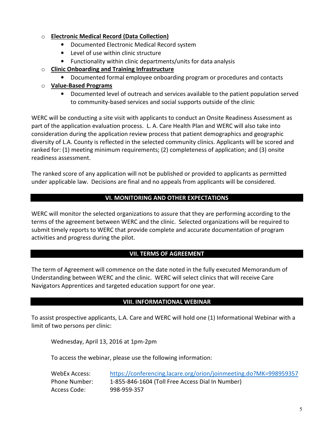#### o Electronic Medical Record (Data Collection)

- Documented Electronic Medical Record system
- Level of use within clinic structure
- Functionality within clinic departments/units for data analysis
- o Clinic Onboarding and Training Infrastructure
	- Documented formal employee onboarding program or procedures and contacts

## o Value-Based Programs

• Documented level of outreach and services available to the patient population served to community-based services and social supports outside of the clinic

WERC will be conducting a site visit with applicants to conduct an Onsite Readiness Assessment as part of the application evaluation process. L. A. Care Health Plan and WERC will also take into consideration during the application review process that patient demographics and geographic diversity of L.A. County is reflected in the selected community clinics. Applicants will be scored and ranked for: (1) meeting minimum requirements; (2) completeness of application; and (3) onsite readiness assessment.

The ranked score of any application will not be published or provided to applicants as permitted under applicable law. Decisions are final and no appeals from applicants will be considered.

## VI. MONITORING AND OTHER EXPECTATIONS

WERC will monitor the selected organizations to assure that they are performing according to the terms of the agreement between WERC and the clinic. Selected organizations will be required to submit timely reports to WERC that provide complete and accurate documentation of program activities and progress during the pilot.

## VII. TERMS OF AGREEMENT

The term of Agreement will commence on the date noted in the fully executed Memorandum of Understanding between WERC and the clinic. WERC will select clinics that will receive Care Navigators Apprentices and targeted education support for one year.

## VIII. INFORMATIONAL WEBINAR

To assist prospective applicants, L.A. Care and WERC will hold one (1) Informational Webinar with a limit of two persons per clinic:

Wednesday, April 13, 2016 at 1pm-2pm

To access the webinar, please use the following information:

| WebEx Access: | https://conferencing.lacare.org/orion/joinmeeting.do?MK=998959357 |
|---------------|-------------------------------------------------------------------|
| Phone Number: | 1-855-846-1604 (Toll Free Access Dial In Number)                  |
| Access Code:  | 998-959-357                                                       |